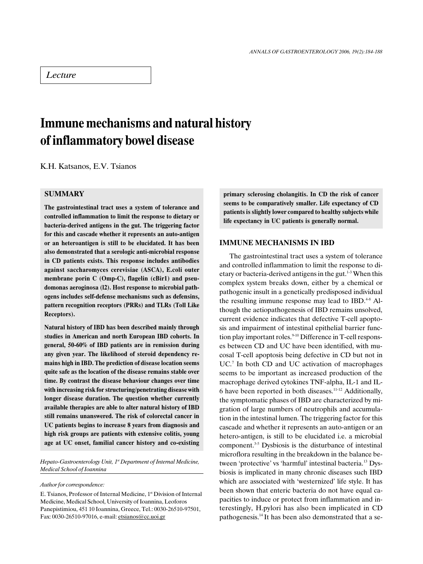## **Lecture**

# Immune mechanisms and natural history of inflammatory bowel disease

K.H. Katsanos, E.V. Tsianos

### **SUMMARY**

The gastrointestinal tract uses a system of tolerance and controlled inflammation to limit the response to dietary or bacteria-derived antigens in the gut. The triggering factor for this and cascade whether it represents an auto-antigen or an heteroantigen is still to be elucidated. It has been also demonstrated that a serologic anti-microbial response in CD patients exists. This response includes antibodies against saccharomyces cerevisiae (ASCA), E.coli outer membrane porin C (Omp-C), flagelin (cBir1) and pseudomonas aeroginosa (l2). Host response to microbial pathogens includes self-defense mechanisms such as defensins, pattern recognition receptors (PRRs) and TLRs (Toll Like Receptors).

Natural history of IBD has been described mainly through studies in American and north European IBD cohorts. In general, 50-60% of IBD patients are in remission during any given year. The likelihood of steroid dependency remains high in IBD. The prediction of disease location seems quite safe as the location of the disease remains stable over time. By contrast the disease behaviour changes over time with increasing risk for structuring/penetrating disease with longer disease duration. The question whether currently available therapies are able to alter natural history of IBD still remains unanswered. The risk of colorectal cancer in UC patients begins to increase 8 years from diagnosis and high risk groups are patients with extensive colitis, young age at UC onset, familial cancer history and co-existing

Hepato-Gastroenterology Unit, 1<sup>st</sup> Department of Internal Medicine, Medical School of Ioannina

Author for correspondence:

E. Tsianos, Professor of Internal Medicine, 1st Division of Internal Medicine, Medical School, University of Ioannina, Leoforos Panepistimiou, 451 10 Ioannina, Greece, Tel.: 0030-26510-97501, Fax: 0030-26510-97016, e-mail: etsianos@cc.uoi.gr

primary sclerosing cholangitis. In CD the risk of cancer seems to be comparatively smaller. Life expectancy of CD patients is slightly lower compared to healthy subjects while life expectancy in UC patients is generally normal.

#### IMMUNE MECHANISMS IN IBD

The gastrointestinal tract uses a system of tolerance and controlled inflammation to limit the response to dietary or bacteria-derived antigens in the gut.<sup>1-3</sup> When this complex system breaks down, either by a chemical or pathogenic insult in a genetically predisposed individual the resulting immune response may lead to IBD.<sup>4-8</sup> Although the aetiopathogenesis of IBD remains unsolved, current evidence indicates that defective T-cell apoptosis and impairment of intestinal epithelial barrier function play important roles. $9-10$  Difference in T-cell responses between CD and UC have been identified, with mucosal T-cell apoptosis being defective in CD but not in UC.<sup>7</sup> In both CD and UC activation of macrophages seems to be important as increased production of the macrophage derived cytokines TNF-alpha, IL-1 and IL-6 have been reported in both diseases.11-12 Additionally, the symptomatic phases of IBD are characterized by migration of large numbers of neutrophils and accumulation in the intestinal lumen. The triggering factor for this cascade and whether it represents an auto-antigen or an hetero-antigen, is still to be elucidated i.e. a microbial component.3-5 Dysbiosis is the disturbance of intestinal microflora resulting in the breakdown in the balance between 'protective' vs 'harmful' intestinal bacteria.<sup>13</sup> Dysbiosis is implicated in many chronic diseases such IBD which are associated with 'westernized' life style. It has been shown that enteric bacteria do not have equal capacities to induce or protect from inflammation and interestingly, H.pylori has also been implicated in CD pathogenesis.14 It has been also demonstrated that a se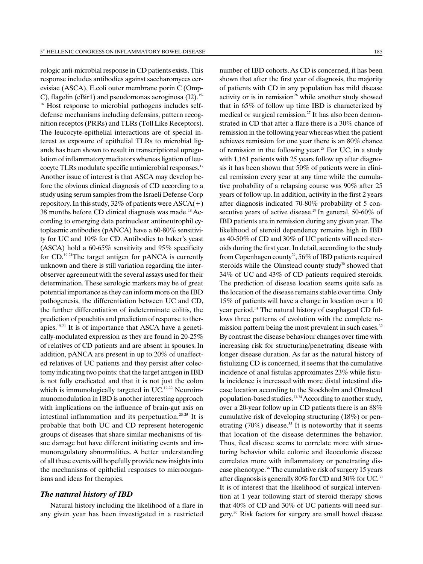rologic anti-microbial response in CD patients exists. This response includes antibodies against saccharomyces cerevisiae (ASCA), E.coli outer membrane porin C (Omp-C), flagelin (cBir1) and pseudomonas aeroginosa  $(12)$ .<sup>15-</sup> <sup>16</sup> Host response to microbial pathogens includes self-

defense mechanisms including defensins, pattern recognition receptos (PRRs) and TLRs (Toll Like Receptors). The leucocyte-epithelial interactions are of special interest as exposure of epithelial TLRs to microbial ligands has been shown to result in transcriptional upregulation of inflammatory mediators whereas ligation of leucocyte TLRs modulate specific antimicrobial responses.17 Another issue of interest is that ASCA may develop before the obvious clinical diagnosis of CD according to a study using serum samples from the Israeli Defense Corp repository. In this study, 32% of patients were  $ASCA(+)$ 38 months before CD clinical diagnosis was made.18 According to emerging data perinuclear antineutrophil cytoplasmic antibodies (pANCA) have a 60-80% sensitivity for UC and 10% for CD. Antibodies to baker's yeast (ASCA) hold a 60-65% sensitivity and 95% specificity for CD.19-21The target antigen for pANCA is currently unknown and there is still variation regarding the interobserver agreement with the several assays used for their determination.These serologic markers may be of great potential importance as they can inform more on the IBD pathogenesis, the differentiation between UC and CD, the further differentiation of indeterminate colitis, the prediction of pouchitis and prediction of response to therapies.19-21 It is of importance that ASCA have a genetically-modulated expression as they are found in 20-25% of relatives of CD patients and are absent in spouses.In addition, pANCA are present in up to 20% of unaffected relatives of UC patients and they persist after colectomy indicating two points: that the target antigen in IBD is not fully eradicated and that it is not just the colon which is immunologically targeted in UC.<sup>19-22</sup> Neuroimmunomodulation in IBD is another interesting approach with implications on the influence of brain-gut axis on intestinal inflammation and its perpetuation.23-25 It is probable that both UC and CD represent heterogenic groups of diseases that share similar mechanisms of tissue damage but have different initiating events and immunoregulatory abnormalities. A better understanding of all these events will hopefully provide new insights into the mechanisms of epithelial responses to microorganisms and ideas for therapies.

#### The natural history of IBD

Natural history including the likelihood of a flare in any given year has been investigated in a restricted number of IBD cohorts.As CD is concerned, it has been shown that after the first year of diagnosis, the majority of patients with CD in any population has mild disease activity or is in remission<sup>26</sup> while another study showed that in 65% of follow up time IBD is characterized by medical or surgical remission.<sup>27</sup> It has also been demonstrated in CD that after a flare there is a 30% chance of remission in the following year whereas when the patient achieves remission for one year there is an 80% chance of remission in the following year.<sup>28</sup> For UC, in a study with 1,161 patients with 25 years follow up after diagnosis it has been shown that 50% of patients were in clinical remission every year at any time while the cumulative probability of a relapsing course was 90% after 25 years of follow up.In addition, activity in the first 2 years after diagnosis indicated 70-80% probability of 5 consecutive years of active disease.<sup>29</sup> In general, 50-60% of IBD patients are in remission during any given year. The likelihood of steroid dependency remains high in IBD as 40-50% of CD and 30% of UC patients will need steroids during the first year. In detail, according to the study from Copenhagen county<sup>29</sup>, 56% of IBD patients required steroids while the Olmstead county study<sup>30</sup> showed that 34% of UC and 43% of CD patients required steroids. The prediction of disease location seems quite safe as the location of the disease remains stable over time. Only 15% of patients will have a change in location over a 10 year period.31 The natural history of esophageal CD follows three patterns of evolution with the complete remission pattern being the most prevalent in such cases. $32$ By contrast the disease behaviour changes over time with increasing risk for structuring/penetrating disease with longer disease duration. As far as the natural history of fistulizing CD is concerned, it seems that the cumulative incidence of anal fistulas approximates 23% while fistula incidence is increased with more distal intestinal disease location according to the Stockholm and Olmstead population-based studies.<sup>33-34</sup> According to another study, over a 20-year follow up in CD patients there is an 88% cumulative risk of developing structuring (18%) or penetrating  $(70\%)$  disease.<sup>35</sup> It is noteworthy that it seems that location of the disease determines the behavior. Thus, ileal disease seems to correlate more with structuring behavior while colonic and ileocolonic disease correlates more with inflammatory or penetrating disease phenotype.<sup>36</sup> The cumulative risk of surgery 15 years after diagnosis is generally 80% for CD and 30% for UC.<sup>30</sup> It is of interest that the likelihood of surgical intervention at 1 year following start of steroid therapy shows that 40% of CD and 30% of UC patients will need surgery.30 Risk factors for surgery are small bowel disease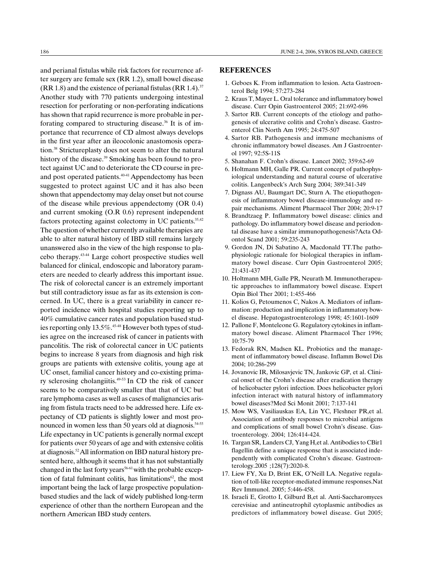and perianal fistulas while risk factors for recurrence after surgery are female sex (RR 1.2), small bowel disease  $(RR 1.8)$  and the existence of perianal fistulas  $(RR 1.4).$ <sup>37</sup> Another study with 770 patients undergoing intestinal resection for perforating or non-perforating indications has shown that rapid recurrence is more probable in perforating compared to structuring disease.<sup>36</sup> It is of importance that recurrence of CD almost always develops in the first year after an ileocolonic anastomosis operation.38 Strictureplasty does not seem to alter the natural history of the disease.<sup>39</sup> Smoking has been found to protect against UC and to deteriorate the CD course in preand post operated patients. $40-41$  Appendectomy has been suggested to protect against UC and it has also been shown that appendectomy may delay onset but not course of the disease while previous appendectomy (OR 0.4) and current smoking (O.R 0.6) represent independent factors protecting against colectomy in UC patients.<sup>35,42</sup> The question of whether currently available therapies are able to alter natural history of IBD still remains largely unanswered also in the view of the high response to placebo therapy.43-44 Large cohort prospective studies well balanced for clinical, endoscopic and laboratory parameters are needed to clearly address this important issue. The risk of colorectal cancer is an extremely important but still contradictory issue as far as its extension is concerned. In UC, there is a great variability in cancer reported incidence with hospital studies reporting up to 40% cumulative cancer rates and population based studies reporting only  $13.5\%$ .<sup>45-48</sup> However both types of studies agree on the increased risk of cancer in patients with pancolitis. The risk of colorectal cancer in UC patients begins to increase 8 years from diagnosis and high risk groups are patients with extensive colitis, young age at UC onset, familial cancer history and co-existing primary sclerosing cholangiitis.49-53 In CD the risk of cancer seems to be comparatively smaller that that of UC but rare lymphoma cases as well as cases of malignancies arising from fistula tracts need to be addressed here. Life expectancy of CD patients is slightly lower and most pronounced in women less than 50 years old at diagnosis.<sup>54-55</sup> Life expectancy in UC patients is generally normal except for patients over 50 years of age and with extensive colitis at diagnosis.52All information on IBD natural history presented here, although it seems that it has not substantially changed in the last forty years<sup>56-61</sup> with the probable exception of fatal fulminant colitis, has limitations $62$ , the most important being the lack of large prospective populationbased studies and the lack of widely published long-term experience of other than the northern European and the northern American IBD study centers.

#### **REFERENCES**

- 1. Geboes K. From inflammation to lesion. Acta Gastroenterol Belg 1994; 57:273-284
- 2. Kraus T, Mayer L. Oral tolerance and inflammatory bowel disease. Curr Opin Gastroenterol 2005; 21:692-696
- 3. Sartor RB. Current concepts of the etiology and pathogenesis of ulcerative colitis and Crohn's disease. Gastroenterol Clin North Am 1995; 24:475-507
- 4. Sartor RB. Pathogenesis and immune mechanisms of chronic inflammatory bowel diseases. Am J Gastroenterol 1997; 92:5S-11S
- 5. Shanahan F. Crohn's disease. Lancet 2002; 359:62-69
- 6. Holtmann MH, Galle PR. Current concept of pathophysiological understanding and natural course of ulcerative colitis. Langenbeck's Arch Surg 2004; 389:341-349
- 7. Dignass AU, Baumgart DC, Sturn A. The etiopathogenesis of inflammatory bowel disease-immunology and repair mechanisms. Aliment Pharmacol Ther 2004; 20:9-17
- 8. Brandtzaeg P. Inflammatory bowel disease: clinics and pathology. Do inflammatory bowel disease and periodontal disease have a similar immunopathogenesis?Acta Odontol Scand 2001; 59:235-243
- 9. Gordon JN, Di Sabatino A, Macdonald TT.The pathophysiologic rationale for biological therapies in inflammatory bowel disease. Curr Opin Gastroenterol 2005; 21:431-437
- 10. Holtmann MH, Galle PR, Neurath M. Immunotherapeutic approaches to inflammatory bowel disease. Expert Opin Biol Ther 2001; 1:455-466
- 11. Kolios G, Petoumenos C, Nakos A. Mediators of inflammation: production and implication in inflammatory bowel disease. Hepatogastroenterology 1998; 45:1601-1609
- 12. Pallone F, Monteleone G. Regulatory cytokines in inflammatory bowel disease. Aliment Pharmacol Ther 1996; 10:75-79
- 13. Fedorak RN, Madsen KL. Probiotics and the management of inflammatory bowel disease. Inflamm Bowel Dis 2004; 10:286-299
- 14. Jovanovic IR, Milosavjevic TN, Jankovic GP, et al. Clinical onset of the Crohn's disease after eradication therapy of helicobacter pylori infection. Does helicobacter pylori infection interact with natural history of inflammatory bowel diseases?Med Sci Monit 2001; 7:137-141
- 15. Mow WS, Vasiliauskas EA, Lin YC, Fleshner PR,et al. Association of antibody responses to microbial antigens and complications of small bowel Crohn's disease. Gastroenterology. 2004; 126:414-424.
- 16. Targan SR, Landers CJ, Yang H,et al. Antibodies to CBir1 flagellin define a unique response that is associated independently with complicated Crohn's disease. Gastroenterology.2005 ;128(7):2020-8.
- 17. Liew FY, Xu D, Brint EK, O'Neill LA. Negative regulation of toll-like receptor-mediated immune responses.Nat Rev Immunol. 2005; 5:446-458.
- 18. Israeli E, Grotto I, Gilburd B,et al. Anti-Saccharomyces cerevisiae and antineutrophil cytoplasmic antibodies as predictors of inflammatory bowel disease. Gut 2005;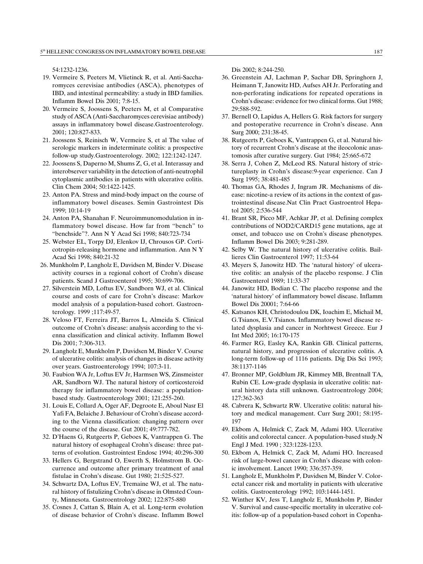54:1232-1236.

- 19. Vermeire S, Peeters M, Vlietinck R, et al. Anti-Saccharomyces cerevisiae antibodies (ASCA), phenotypes of IBD, and intestinal permeability: a study in IBD families. Inflamm Bowel Dis 2001; 7:8-15.
- 20. Vermeire S, Joossens S, Peeters M, et al Comparative study of ASCA (Anti-Saccharomyces cerevisiae antibody) assays in inflammatory bowel disease.Gastroenterology. 2001; 120:827-833.
- 21. Joossens S, Reinisch W, Vermeire S, et al The value of serologic markers in indeterminate colitis: a prospective follow-up study.Gastroenterology. 2002; 122:1242-1247.
- 22. Joossens S, Daperno M, Shums Z, G, et al. Interassay and interobserver variability in the detection of anti-neutrophil cytoplasmic antibodies in patients with ulcerative colitis. Clin Chem 2004; 50:1422-1425.
- 23. Anton PA. Stress and mind-body impact on the course of inflammatory bowel diseases. Semin Gastrointest Dis 1999; 10:14-19
- 24. Anton PA, Shanahan F. Neuroimmunomodulation in inflammatory bowel disease. How far from "bench" to benchside?. Ann N Y Acad Sci 1998; 840:723-734
- 25. Webster EL, Torpy DJ, Elenkov IJ, Chrousos GP. Corticotropin-releasing hormone and inflammation. Ann N Y Acad Sci 1998; 840:21-32
- 26. Munkholm P, Langholz E, Davidsen M, Binder V. Disease activity courses in a regional cohort of Crohn's disease patients. Scand J Gastroenterol 1995; 30:699-706.
- 27. Silverstein MD, Loftus EV, Sandborn WJ, et al. Clinical course and costs of care for Crohn's disease: Markov model analysis of a population-based cohort. Gastroenterology. 1999 ;117:49-57.
- 28. Veloso FT, Ferreira JT, Barros L, Almeida S. Clinical outcome of Crohn's disease: analysis according to the vienna classification and clinical activity. Inflamm Bowel Dis 2001; 7:306-313.
- 29. Langholz E, Munkholm P, Davidsen M, Binder V. Course of ulcerative colitis: analysis of changes in disease activity over years. Gastroenterology 1994; 107:3-11.
- 30. Faubion WA Jr, Loftus EV Jr, Harmsen WS, Zinsmeister AR, Sandborn WJ. The natural history of corticosteroid therapy for inflammatory bowel disease: a populationbased study. Gastroenterology 2001; 121:255-260.
- 31. Louis E, Collard A, Oger AF, Degroote E, Aboul Nasr El Yafi FA, Belaiche J. Behaviour of Crohn's disease according to the Vienna classification: changing pattern over the course of the disease. Gut 2001; 49:777-782.
- 32. D'Haens G, Rutgeerts P, Geboes K, Vantrappen G. The natural history of esophageal Crohn's disease: three patterns of evolution. Gastrointest Endosc 1994; 40:296-300
- 33. Hellers G, Bergstrand O, Ewerth S, Holmstrom B. Occurrence and outcome after primary treatment of anal fistulae in Crohn's disease. Gut 1980; 21:525-527.
- 34. Schwartz DA, Loftus EV, Tremaine WJ, et al. The natural history of fistulizing Crohn's disease in Olmsted County, Minnesota. Gastroentrology 2002; 122:875-880
- 35. Cosnes J, Cattan S, Blain A, et al. Long-term evolution of disease behavior of Crohn's disease. Inflamm Bowel

Dis 2002; 8:244-250.

- 36. Greenstein AJ, Lachman P, Sachar DB, Springhorn J, Heimann T, Janowitz HD, Aufses AH Jr. Perforating and non-perforating indications for repeated operations in Crohn's disease: evidence for two clinical forms. Gut 1988; 29:588-592.
- 37. Bernell O, Lapidus A, Hellers G. Risk factors for surgery and postoperative recurrence in Crohn's disease. Ann Surg 2000; 231:38-45.
- 38. Rutgeerts P, Geboes K, Vantrappen G, et al. Natural history of recurrent Crohn's disease at the ileocolonic anastomosis after curative surgery. Gut 1984; 25:665-672
- 38. Serra J, Cohen Z, McLeod RS. Natural history of strictureplasty in Crohn's disease: 9-year experience. Can J Surg 1995; 38:481-485
- 40. Thomas GA, Rhodes J, Ingram JR. Mechanisms of disease: nicotine-a review of its actions in the context of gastrointestinal disease.Nat Clin Pract Gastroentrol Hepatol 2005; 2:536-544
- 41. Brant SR, Picco MF, Achkar JP, et al. Defining complex contributions of NOD2/CARD15 gene mutations, age at onset, and tobacco use on Crohn's disease phenotypes. Inflamm Bowel Dis 2003; 9:281-289.
- 42. Selby W. The natural history of ulcerative colitis. Baillieres Clin Gastroenterol 1997; 11:53-64
- 43. Meyers S, Janowitz HD. The 'natural history' of ulcerative colitis: an analysis of the placebo response. J Clin Gastroenterol 1989; 11:33-37
- 44. Janowitz HD, Bodian C. The placebo response and the natural history of inflammatory bowel disease. Inflamm Bowel Dis 20001; 7:64-66
- 45. Katsanos KH, Christodoulou DK, Ioachim E, Michail M, G.Tsianos, E.V.Tsianos. Inflammatory bowel disease related dysplasia and cancer in Norhtwest Greece. Eur J Int Med 2005; 16:170-175
- 46. Farmer RG, Easley KA, Rankin GB. Clinical patterns, natural history, and progression of ulcerative colitis. A long-term follow-up of 1116 patients. Dig Dis Sci 1993; 38:1137-1146
- 47. Bronner MP, Goldblum JR, Kimmey MB, Brentnall TA, Rubin CE. Low-grade dysplasia in ulcerative colitis: natural history data still unknown. Gastroentrology 2004; 127:362-363
- 48. Cabrera K, Schwartz RW. Ulcerative colitis: natural history and medical management. Curr Surg 2001; 58:195- 197
- 49. Ekbom A, Helmick C, Zack M, Adami HO. Ulcerative colitis and colorectal cancer. A population-based study.N Engl J Med. 1990 ; 323:1228-1233.
- 50. Ekbom A, Helmick C, Zack M, Adami HO. Increased risk of large-bowel cancer in Crohn's disease with colonic involvement. Lancet 1990; 336:357-359.
- 51. Langholz E, Munkholm P, Davidsen M, Binder V. Colorectal cancer risk and mortality in patients with ulcerative colitis. Gastroenterology 1992; 103:1444-1451.
- 52. Winther KV, Jess T, Langholz E, Munkholm P, Binder V. Survival and cause-specific mortality in ulcerative colitis: follow-up of a population-based cohort in Copenha-